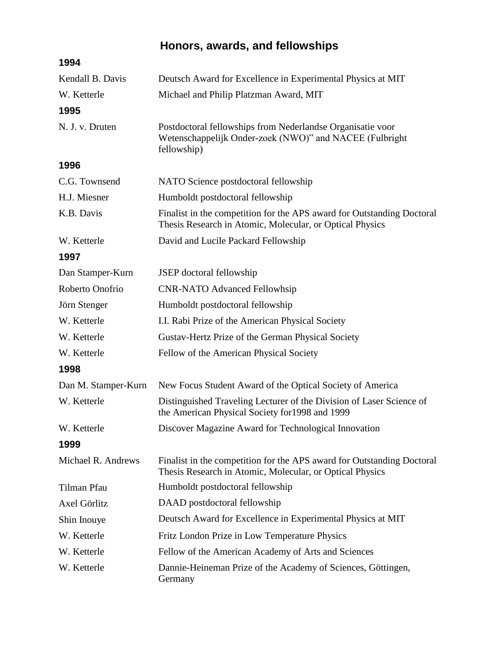## **Honors, awards, and fellowships**

| 1994                |                                                                                                                                      |
|---------------------|--------------------------------------------------------------------------------------------------------------------------------------|
| Kendall B. Davis    | Deutsch Award for Excellence in Experimental Physics at MIT                                                                          |
| W. Ketterle         | Michael and Philip Platzman Award, MIT                                                                                               |
| 1995                |                                                                                                                                      |
| N. J. v. Druten     | Postdoctoral fellowships from Nederlandse Organisatie voor<br>Wetenschappelijk Onder-zoek (NWO)" and NACEE (Fulbright<br>fellowship) |
| 1996                |                                                                                                                                      |
| C.G. Townsend       | NATO Science postdoctoral fellowship                                                                                                 |
| H.J. Miesner        | Humboldt postdoctoral fellowship                                                                                                     |
| K.B. Davis          | Finalist in the competition for the APS award for Outstanding Doctoral<br>Thesis Research in Atomic, Molecular, or Optical Physics   |
| W. Ketterle         | David and Lucile Packard Fellowship                                                                                                  |
| 1997                |                                                                                                                                      |
| Dan Stamper-Kurn    | <b>JSEP</b> doctoral fellowship                                                                                                      |
| Roberto Onofrio     | <b>CNR-NATO Advanced Fellowhsip</b>                                                                                                  |
| Jörn Stenger        | Humboldt postdoctoral fellowship                                                                                                     |
| W. Ketterle         | I.I. Rabi Prize of the American Physical Society                                                                                     |
| W. Ketterle         | Gustav-Hertz Prize of the German Physical Society                                                                                    |
| W. Ketterle         | Fellow of the American Physical Society                                                                                              |
| 1998                |                                                                                                                                      |
| Dan M. Stamper-Kurn | New Focus Student Award of the Optical Society of America                                                                            |
| W. Ketterle         | Distinguished Traveling Lecturer of the Division of Laser Science of<br>the American Physical Society for 1998 and 1999              |
| W. Ketterle         | Discover Magazine Award for Technological Innovation                                                                                 |
| 1999                |                                                                                                                                      |
| Michael R. Andrews  | Finalist in the competition for the APS award for Outstanding Doctoral<br>Thesis Research in Atomic, Molecular, or Optical Physics   |
| Tilman Pfau         | Humboldt postdoctoral fellowship                                                                                                     |
| Axel Görlitz        | DAAD postdoctoral fellowship                                                                                                         |
| Shin Inouye         | Deutsch Award for Excellence in Experimental Physics at MIT                                                                          |
| W. Ketterle         | Fritz London Prize in Low Temperature Physics                                                                                        |
| W. Ketterle         | Fellow of the American Academy of Arts and Sciences                                                                                  |
| W. Ketterle         | Dannie-Heineman Prize of the Academy of Sciences, Göttingen,<br>Germany                                                              |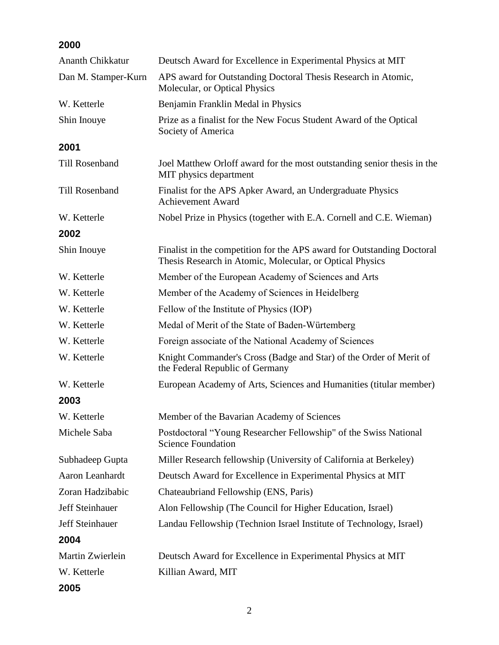## **2000**

| <b>Ananth Chikkatur</b> | Deutsch Award for Excellence in Experimental Physics at MIT                                                                        |
|-------------------------|------------------------------------------------------------------------------------------------------------------------------------|
| Dan M. Stamper-Kurn     | APS award for Outstanding Doctoral Thesis Research in Atomic,<br>Molecular, or Optical Physics                                     |
| W. Ketterle             | Benjamin Franklin Medal in Physics                                                                                                 |
| Shin Inouye             | Prize as a finalist for the New Focus Student Award of the Optical<br>Society of America                                           |
| 2001                    |                                                                                                                                    |
| <b>Till Rosenband</b>   | Joel Matthew Orloff award for the most outstanding senior thesis in the<br>MIT physics department                                  |
| Till Rosenband          | Finalist for the APS Apker Award, an Undergraduate Physics<br><b>Achievement Award</b>                                             |
| W. Ketterle             | Nobel Prize in Physics (together with E.A. Cornell and C.E. Wieman)                                                                |
| 2002                    |                                                                                                                                    |
| Shin Inouye             | Finalist in the competition for the APS award for Outstanding Doctoral<br>Thesis Research in Atomic, Molecular, or Optical Physics |
| W. Ketterle             | Member of the European Academy of Sciences and Arts                                                                                |
| W. Ketterle             | Member of the Academy of Sciences in Heidelberg                                                                                    |
| W. Ketterle             | Fellow of the Institute of Physics (IOP)                                                                                           |
| W. Ketterle             | Medal of Merit of the State of Baden-Würtemberg                                                                                    |
| W. Ketterle             | Foreign associate of the National Academy of Sciences                                                                              |
| W. Ketterle             | Knight Commander's Cross (Badge and Star) of the Order of Merit of<br>the Federal Republic of Germany                              |
| W. Ketterle             | European Academy of Arts, Sciences and Humanities (titular member)                                                                 |
| 2003                    |                                                                                                                                    |
| W. Ketterle             | Member of the Bavarian Academy of Sciences                                                                                         |
| Michele Saba            | Postdoctoral "Young Researcher Fellowship" of the Swiss National<br><b>Science Foundation</b>                                      |
| Subhadeep Gupta         | Miller Research fellowship (University of California at Berkeley)                                                                  |
| Aaron Leanhardt         | Deutsch Award for Excellence in Experimental Physics at MIT                                                                        |
| Zoran Hadzibabic        | Chateaubriand Fellowship (ENS, Paris)                                                                                              |
| <b>Jeff Steinhauer</b>  | Alon Fellowship (The Council for Higher Education, Israel)                                                                         |
| <b>Jeff Steinhauer</b>  | Landau Fellowship (Technion Israel Institute of Technology, Israel)                                                                |
| 2004                    |                                                                                                                                    |
| Martin Zwierlein        | Deutsch Award for Excellence in Experimental Physics at MIT                                                                        |
| W. Ketterle             | Killian Award, MIT                                                                                                                 |
| 2005                    |                                                                                                                                    |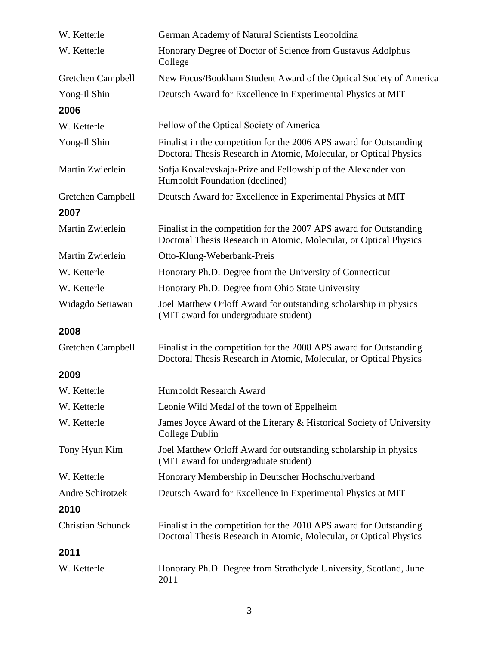| W. Ketterle              | German Academy of Natural Scientists Leopoldina                                                                                         |
|--------------------------|-----------------------------------------------------------------------------------------------------------------------------------------|
| W. Ketterle              | Honorary Degree of Doctor of Science from Gustavus Adolphus<br>College                                                                  |
| Gretchen Campbell        | New Focus/Bookham Student Award of the Optical Society of America                                                                       |
| Yong-Il Shin             | Deutsch Award for Excellence in Experimental Physics at MIT                                                                             |
| 2006                     |                                                                                                                                         |
| W. Ketterle              | Fellow of the Optical Society of America                                                                                                |
| Yong-Il Shin             | Finalist in the competition for the 2006 APS award for Outstanding<br>Doctoral Thesis Research in Atomic, Molecular, or Optical Physics |
| Martin Zwierlein         | Sofja Kovalevskaja-Prize and Fellowship of the Alexander von<br>Humboldt Foundation (declined)                                          |
| Gretchen Campbell        | Deutsch Award for Excellence in Experimental Physics at MIT                                                                             |
| 2007                     |                                                                                                                                         |
| Martin Zwierlein         | Finalist in the competition for the 2007 APS award for Outstanding<br>Doctoral Thesis Research in Atomic, Molecular, or Optical Physics |
| Martin Zwierlein         | Otto-Klung-Weberbank-Preis                                                                                                              |
| W. Ketterle              | Honorary Ph.D. Degree from the University of Connecticut                                                                                |
| W. Ketterle              | Honorary Ph.D. Degree from Ohio State University                                                                                        |
| Widagdo Setiawan         | Joel Matthew Orloff Award for outstanding scholarship in physics<br>(MIT award for undergraduate student)                               |
| 2008                     |                                                                                                                                         |
| Gretchen Campbell        | Finalist in the competition for the 2008 APS award for Outstanding<br>Doctoral Thesis Research in Atomic, Molecular, or Optical Physics |
| 2009                     |                                                                                                                                         |
| W. Ketterle              | Humboldt Research Award                                                                                                                 |
| W. Ketterle              | Leonie Wild Medal of the town of Eppelheim                                                                                              |
| W. Ketterle              | James Joyce Award of the Literary & Historical Society of University<br>College Dublin                                                  |
| Tony Hyun Kim            | Joel Matthew Orloff Award for outstanding scholarship in physics<br>(MIT award for undergraduate student)                               |
| W. Ketterle              | Honorary Membership in Deutscher Hochschulverband                                                                                       |
| <b>Andre Schirotzek</b>  | Deutsch Award for Excellence in Experimental Physics at MIT                                                                             |
| 2010                     |                                                                                                                                         |
| <b>Christian Schunck</b> | Finalist in the competition for the 2010 APS award for Outstanding<br>Doctoral Thesis Research in Atomic, Molecular, or Optical Physics |
| 2011                     |                                                                                                                                         |
| W. Ketterle              | Honorary Ph.D. Degree from Strathclyde University, Scotland, June<br>2011                                                               |